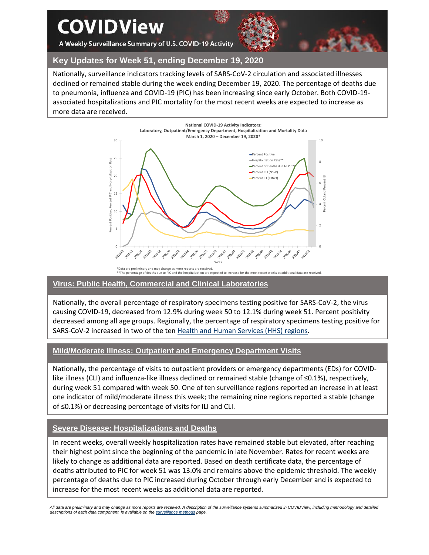# **COVIDView**

A Weekly Surveillance Summary of U.S. COVID-19 Activity



# **Key Updates for Week 51, ending December 19, 2020**

Nationally, surveillance indicators tracking levels of SARS-CoV-2 circulation and associated illnesses declined or remained stable during the week ending December 19, 2020. The percentage of deaths due to pneumonia, influenza and COVID-19 (PIC) has been increasing since early October. Both COVID-19 associated hospitalizations and PIC mortality for the most recent weeks are expected to increase as more data are received.



#### \*Data are preliminary and may change as more reports are received. \*\*The percentage of deaths due to PIC and the hospitalization are expected to increase for the most recent weeks as additional data are received.

#### **Virus: Public Health, Commercial and Clinical Laboratories**

Nationally, the overall percentage of respiratory specimens testing positive for SARS-CoV-2, the virus causing COVID-19, decreased from 12.9% during week 50 to 12.1% during week 51. Percent positivity decreased among all age groups. Regionally, the percentage of respiratory specimens testing positive for SARS-CoV-2 increased in two of the ten [Health and Human Services \(HHS\)](https://www.hhs.gov/about/agencies/iea/regional-offices/index.html) regions.

#### **Mild/Moderate Illness: Outpatient and Emergency Department Visits**

Nationally, the percentage of visits to outpatient providers or emergency departments (EDs) for COVIDlike illness (CLI) and influenza-like illness declined or remained stable (change of ≤0.1%), respectively, during week 51 compared with week 50. One of ten surveillance regions reported an increase in at least one indicator of mild/moderate illness this week; the remaining nine regions reported a stable (change of ≤0.1%) or decreasing percentage of visits for ILI and CLI.

# **Severe Disease: Hospitalizations and Deaths**

In recent weeks, overall weekly hospitalization rates have remained stable but elevated, after reaching their highest point since the beginning of the pandemic in late November. Rates for recent weeks are likely to change as additional data are reported. Based on death certificate data, the percentage of deaths attributed to PIC for week 51 was 13.0% and remains above the epidemic threshold. The weekly percentage of deaths due to PIC increased during October through early December and is expected to increase for the most recent weeks as additional data are reported.

*All data are preliminary and may change as more reports are received. A description of the surveillance systems summarized in COVIDView, including methodology and detailed descriptions of each data component, is available on th[e surveillance methods](https://www.cdc.gov/coronavirus/2019-ncov/covid-data/covidview/purpose-methods.html) page.*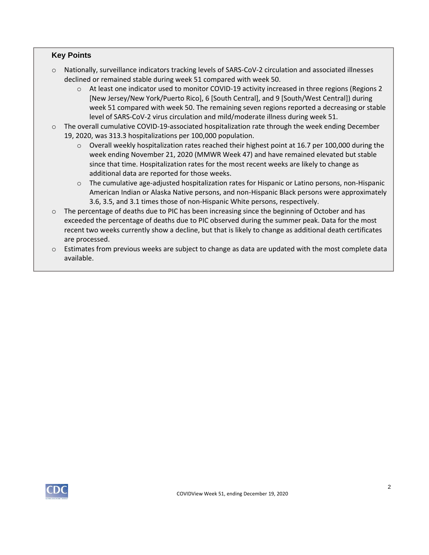### **Key Points**

- o Nationally, surveillance indicators tracking levels of SARS-CoV-2 circulation and associated illnesses declined or remained stable during week 51 compared with week 50.
	- o At least one indicator used to monitor COVID-19 activity increased in three regions (Regions 2 [New Jersey/New York/Puerto Rico], 6 [South Central], and 9 [South/West Central]) during week 51 compared with week 50. The remaining seven regions reported a decreasing or stable level of SARS-CoV-2 virus circulation and mild/moderate illness during week 51.
- o The overall cumulative COVID-19-associated hospitalization rate through the week ending December 19, 2020, was 313.3 hospitalizations per 100,000 population.
	- $\circ$  Overall weekly hospitalization rates reached their highest point at 16.7 per 100,000 during the week ending November 21, 2020 (MMWR Week 47) and have remained elevated but stable since that time. Hospitalization rates for the most recent weeks are likely to change as additional data are reported for those weeks.
	- o The cumulative age-adjusted hospitalization rates for Hispanic or Latino persons, non-Hispanic American Indian or Alaska Native persons, and non-Hispanic Black persons were approximately 3.6, 3.5, and 3.1 times those of non-Hispanic White persons, respectively.
- $\circ$  The percentage of deaths due to PIC has been increasing since the beginning of October and has exceeded the percentage of deaths due to PIC observed during the summer peak. Data for the most recent two weeks currently show a decline, but that is likely to change as additional death certificates are processed.
- $\circ$  Estimates from previous weeks are subject to change as data are updated with the most complete data available.

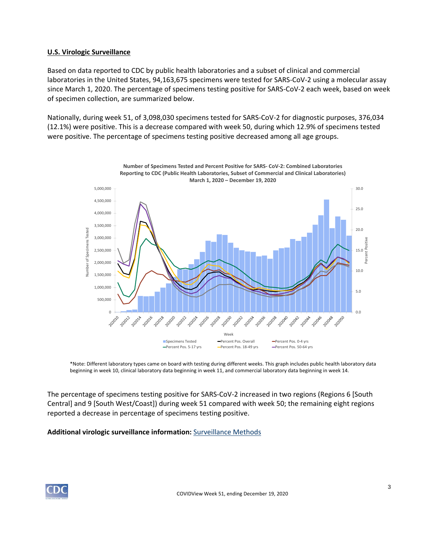#### **U.S. Virologic Surveillance**

Based on data reported to CDC by public health laboratories and a subset of clinical and commercial laboratories in the United States, 94,163,675 specimens were tested for SARS-CoV-2 using a molecular assay since March 1, 2020. The percentage of specimens testing positive for SARS-CoV-2 each week, based on week of specimen collection, are summarized below.

Nationally, during week 51, of 3,098,030 specimens tested for SARS-CoV-2 for diagnostic purposes, 376,034 (12.1%) were positive. This is a decrease compared with week 50, during which 12.9% of specimens tested were positive. The percentage of specimens testing positive decreased among all age groups.



\*Note: Different laboratory types came on board with testing during different weeks. This graph includes public health laboratory data beginning in week 10, clinical laboratory data beginning in week 11, and commercial laboratory data beginning in week 14.

The percentage of specimens testing positive for SARS-CoV-2 increased in two regions (Regions 6 [South Central] and 9 [South West/Coast]) during week 51 compared with week 50; the remaining eight regions reported a decrease in percentage of specimens testing positive.

#### **Additional virologic surveillance information:** [Surveillance Methods](https://www.cdc.gov/coronavirus/2019-ncov/covid-data/covidview/purpose-methods.html#virologic)

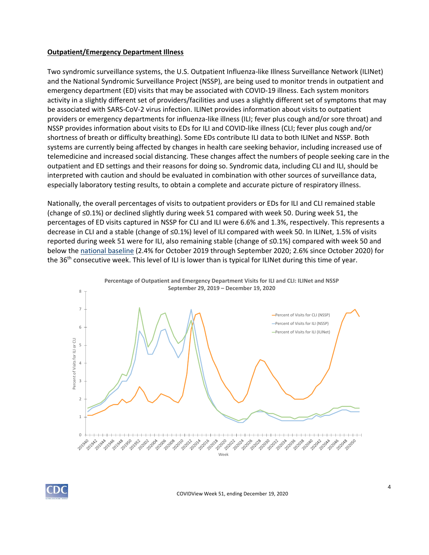#### **Outpatient/Emergency Department Illness**

Two syndromic surveillance systems, the U.S. Outpatient Influenza-like Illness Surveillance Network (ILINet) and the National Syndromic Surveillance Project (NSSP), are being used to monitor trends in outpatient and emergency department (ED) visits that may be associated with COVID-19 illness. Each system monitors activity in a slightly different set of providers/facilities and uses a slightly different set of symptoms that may be associated with SARS-CoV-2 virus infection. ILINet provides information about visits to outpatient providers or emergency departments for influenza-like illness (ILI; fever plus cough and/or sore throat) and NSSP provides information about visits to EDs for ILI and COVID-like illness (CLI; fever plus cough and/or shortness of breath or difficulty breathing). Some EDs contribute ILI data to both ILINet and NSSP. Both systems are currently being affected by changes in health care seeking behavior, including increased use of telemedicine and increased social distancing. These changes affect the numbers of people seeking care in the outpatient and ED settings and their reasons for doing so. Syndromic data, including CLI and ILI, should be interpreted with caution and should be evaluated in combination with other sources of surveillance data, especially laboratory testing results, to obtain a complete and accurate picture of respiratory illness.

Nationally, the overall percentages of visits to outpatient providers or EDs for ILI and CLI remained stable (change of ≤0.1%) or declined slightly during week 51 compared with week 50. During week 51, the percentages of ED visits captured in NSSP for CLI and ILI were 6.6% and 1.3%, respectively. This represents a decrease in CLI and a stable (change of ≤0.1%) level of ILI compared with week 50. In ILINet, 1.5% of visits reported during week 51 were for ILI, also remaining stable (change of ≤0.1%) compared with week 50 and below the [national baseline](https://www.cdc.gov/coronavirus/2019-ncov/covid-data/covidview/purpose-methods.html#outpatient) (2.4% for October 2019 through September 2020; 2.6% since October 2020) for the 36<sup>th</sup> consecutive week. This level of ILI is lower than is typical for ILINet during this time of year.



COVIDView Week 51, ending December 19, 2020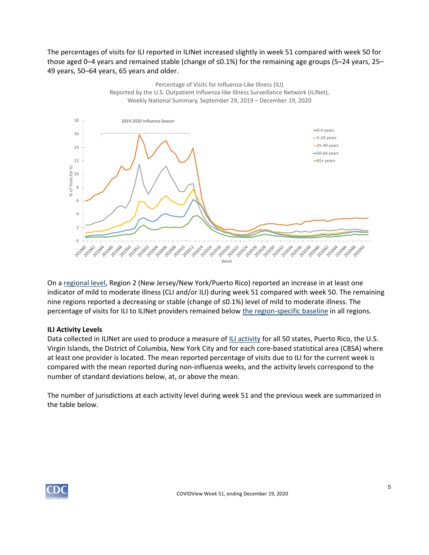The percentages of visits for ILI reported in ILINet increased slightly in week 51 compared with week 50 for those aged 0–4 years and remained stable (change of ≤0.1%) for the remaining age groups (5–24 years, 25– 49 years, 50–64 years, 65 years and older.



On a [regional level,](https://www.hhs.gov/about/agencies/iea/regional-offices/index.html) Region 2 (New Jersey/New York/Puerto Rico) reported an increase in at least one indicator of mild to moderate illness (CLI and/or ILI) during week 51 compared with week 50. The remaining nine regions reported a decreasing or stable (change of ≤0.1%) level of mild to moderate illness. The percentage of visits for ILI to ILINet providers remained below [the region-specific baseline](https://www.cdc.gov/coronavirus/2019-ncov/covid-data/covidview/purpose-methods.html#outpatient) in all regions.

#### **ILI Activity Levels**

Data collected in ILINet are used to produce a measure of [ILI activity](https://www.cdc.gov/coronavirus/2019-ncov/covid-data/covidview/purpose-methods.html#outpatient) for all 50 states, Puerto Rico, the U.S. Virgin Islands, the District of Columbia, New York City and for each core-based statistical area (CBSA) where at least one provider is located. The mean reported percentage of visits due to ILI for the current week is compared with the mean reported during non-influenza weeks, and the activity levels correspond to the number of standard deviations below, at, or above the mean.

The number of jurisdictions at each activity level during week 51 and the previous week are summarized in the table below.

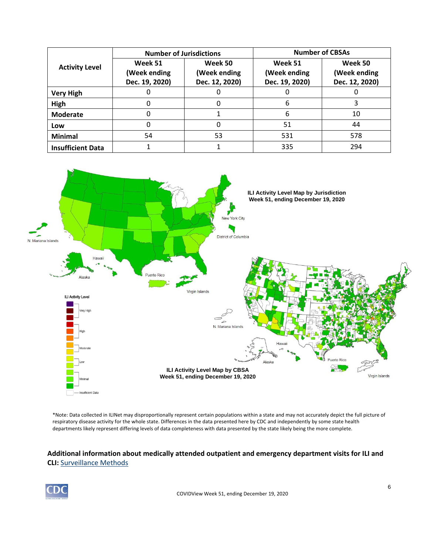| <b>Activity Level</b>    | <b>Number of Jurisdictions</b>            |                                           | <b>Number of CBSAs</b>                    |                                           |  |
|--------------------------|-------------------------------------------|-------------------------------------------|-------------------------------------------|-------------------------------------------|--|
|                          | Week 51<br>(Week ending<br>Dec. 19, 2020) | Week 50<br>(Week ending<br>Dec. 12, 2020) | Week 51<br>(Week ending<br>Dec. 19, 2020) | Week 50<br>(Week ending<br>Dec. 12, 2020) |  |
| <b>Very High</b>         |                                           |                                           |                                           |                                           |  |
| High                     | O                                         |                                           | 6                                         |                                           |  |
| <b>Moderate</b>          |                                           |                                           | 6                                         | 10                                        |  |
| Low                      |                                           |                                           | 51                                        | 44                                        |  |
| <b>Minimal</b>           | 54                                        | 53                                        | 531                                       | 578                                       |  |
| <b>Insufficient Data</b> |                                           |                                           | 335                                       | 294                                       |  |



\*Note: Data collected in ILINet may disproportionally represent certain populations within a state and may not accurately depict the full picture of respiratory disease activity for the whole state. Differences in the data presented here by CDC and independently by some state health departments likely represent differing levels of data completeness with data presented by the state likely being the more complete.

# **Additional information about medically attended outpatient and emergency department visits for ILI and CLI:** [Surveillance Methods](https://www.cdc.gov/coronavirus/2019-ncov/covid-data/covidview/purpose-methods.html#outpatient)

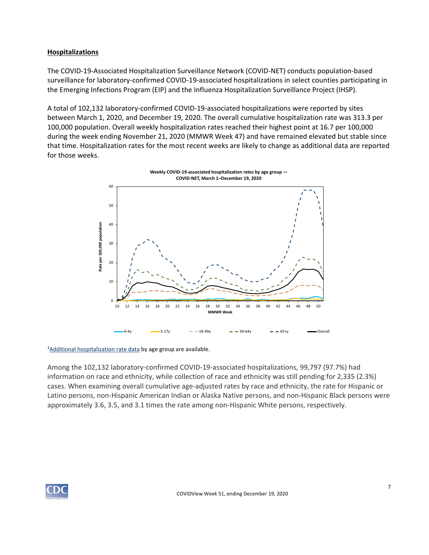### **Hospitalizations**

The COVID-19-Associated Hospitalization Surveillance Network (COVID-NET) conducts population-based surveillance for laboratory-confirmed COVID-19-associated hospitalizations in select counties participating in the Emerging Infections Program (EIP) and the Influenza Hospitalization Surveillance Project (IHSP).

A total of 102,132 laboratory-confirmed COVID-19-associated hospitalizations were reported by sites between March 1, 2020, and December 19, 2020. The overall cumulative hospitalization rate was 313.3 per 100,000 population. Overall weekly hospitalization rates reached their highest point at 16.7 per 100,000 during the week ending November 21, 2020 (MMWR Week 47) and have remained elevated but stable since that time. Hospitalization rates for the most recent weeks are likely to change as additional data are reported for those weeks.



<sup>1</sup>[Additional hospitalization rate data](https://gis.cdc.gov/grasp/COVIDNet/COVID19_3.html) by age group are available.

Among the 102,132 laboratory-confirmed COVID-19-associated hospitalizations, 99,797 (97.7%) had information on race and ethnicity, while collection of race and ethnicity was still pending for 2,335 (2.3%) cases. When examining overall cumulative age-adjusted rates by race and ethnicity, the rate for Hispanic or Latino persons, non-Hispanic American Indian or Alaska Native persons, and non-Hispanic Black persons were approximately 3.6, 3.5, and 3.1 times the rate among non-Hispanic White persons, respectively.

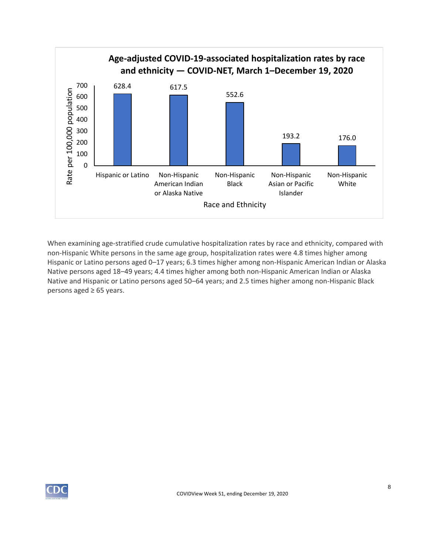

When examining age-stratified crude cumulative hospitalization rates by race and ethnicity, compared with non-Hispanic White persons in the same age group, hospitalization rates were 4.8 times higher among Hispanic or Latino persons aged 0–17 years; 6.3 times higher among non-Hispanic American Indian or Alaska Native persons aged 18–49 years; 4.4 times higher among both non-Hispanic American Indian or Alaska Native and Hispanic or Latino persons aged 50–64 years; and 2.5 times higher among non-Hispanic Black persons aged ≥ 65 years.

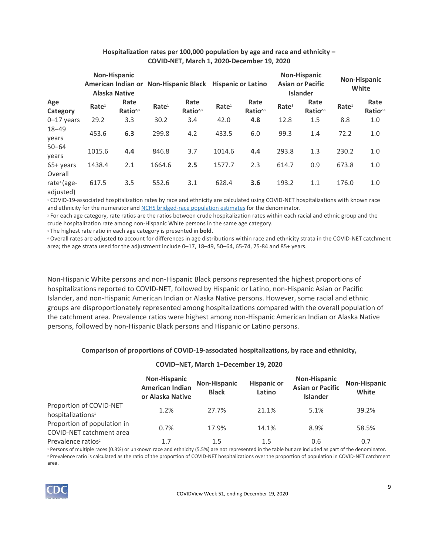|                                                 |                   | <b>Non-Hispanic</b><br><b>Alaska Native</b> |                   | American Indian or Non-Hispanic Black Hispanic or Latino |                   |                              |                   | <b>Non-Hispanic</b><br><b>Asian or Pacific</b><br><b>Islander</b> |                   | <b>Non-Hispanic</b><br>White |
|-------------------------------------------------|-------------------|---------------------------------------------|-------------------|----------------------------------------------------------|-------------------|------------------------------|-------------------|-------------------------------------------------------------------|-------------------|------------------------------|
| Age<br>Category                                 | Rate <sup>1</sup> | Rate<br>Ratio <sup>2,3</sup>                | Rate <sup>1</sup> | Rate<br>Ratio <sup>2,3</sup>                             | Rate <sup>1</sup> | Rate<br>Ratio <sup>2,3</sup> | Rate <sup>1</sup> | Rate<br>Ratio <sup>2,3</sup>                                      | Rate <sup>1</sup> | Rate<br>Ratio <sup>2,3</sup> |
| $0-17$ years                                    | 29.2              | 3.3                                         | 30.2              | 3.4                                                      | 42.0              | 4.8                          | 12.8              | 1.5                                                               | 8.8               | 1.0                          |
| $18 - 49$<br>years                              | 453.6             | 6.3                                         | 299.8             | 4.2                                                      | 433.5             | 6.0                          | 99.3              | 1.4                                                               | 72.2              | 1.0                          |
| $50 - 64$<br>years                              | 1015.6            | 4.4                                         | 846.8             | 3.7                                                      | 1014.6            | 4.4                          | 293.8             | 1.3                                                               | 230.2             | 1.0                          |
| 65+ years                                       | 1438.4            | 2.1                                         | 1664.6            | 2.5                                                      | 1577.7            | 2.3                          | 614.7             | 0.9                                                               | 673.8             | 1.0                          |
| Overall<br>rate <sup>4</sup> (age-<br>adjusted) | 617.5             | 3.5                                         | 552.6             | 3.1                                                      | 628.4             | 3.6                          | 193.2             | 1.1                                                               | 176.0             | 1.0                          |

#### **Hospitalization rates per 100,000 population by age and race and ethnicity – COVID-NET, March 1, 2020-December 19, 2020**

<sup>1</sup> COVID-19-associated hospitalization rates by race and ethnicity are calculated using COVID-NET hospitalizations with known race and ethnicity for the numerator and [NCHS bridged-race population estimates](https://www.cdc.gov/nchs/nvss/bridged_race.htm) for the denominator.

<sup>2</sup> For each age category, rate ratios are the ratios between crude hospitalization rates within each racial and ethnic group and the crude hospitalization rate among non-Hispanic White persons in the same age category.

<sup>3</sup> The highest rate ratio in each age category is presented in **bold**.

<sup>4</sup> Overall rates are adjusted to account for differences in age distributions within race and ethnicity strata in the COVID-NET catchment area; the age strata used for the adjustment include 0–17, 18–49, 50–64, 65-74, 75-84 and 85+ years.

Non-Hispanic White persons and non-Hispanic Black persons represented the highest proportions of hospitalizations reported to COVID-NET, followed by Hispanic or Latino, non-Hispanic Asian or Pacific Islander, and non-Hispanic American Indian or Alaska Native persons. However, some racial and ethnic groups are disproportionately represented among hospitalizations compared with the overall population of the catchment area. Prevalence ratios were highest among non-Hispanic American Indian or Alaska Native persons, followed by non-Hispanic Black persons and Hispanic or Latino persons.

#### **Comparison of proportions of COVID-19-associated hospitalizations, by race and ethnicity,**

#### **COVID–NET, March 1–December 19, 2020**

|                                                          | <b>Non-Hispanic</b><br><b>American Indian</b><br>or Alaska Native | <b>Non-Hispanic</b><br><b>Black</b> | <b>Hispanic or</b><br>Latino | <b>Non-Hispanic</b><br><b>Asian or Pacific</b><br><b>Islander</b> | Non-Hispanic<br>White |
|----------------------------------------------------------|-------------------------------------------------------------------|-------------------------------------|------------------------------|-------------------------------------------------------------------|-----------------------|
| Proportion of COVID-NET<br>hospitalizations <sup>1</sup> | 1.2%                                                              | 27.7%                               | 21.1%                        | 5.1%                                                              | 39.2%                 |
| Proportion of population in<br>COVID-NET catchment area  | 0.7%                                                              | 17.9%                               | 14.1%                        | 8.9%                                                              | 58.5%                 |
| Prevalence ratios <sup>2</sup>                           | 1.7                                                               | 1.5                                 | 1.5                          | 0.6                                                               | 0.7                   |

<sup>1</sup> Persons of multiple races (0.3%) or unknown race and ethnicity (5.5%) are not represented in the table but are included as part of the denominator. <sup>2</sup> Prevalence ratio is calculated as the ratio of the proportion of COVID-NET hospitalizations over the proportion of population in COVID-NET catchment area.

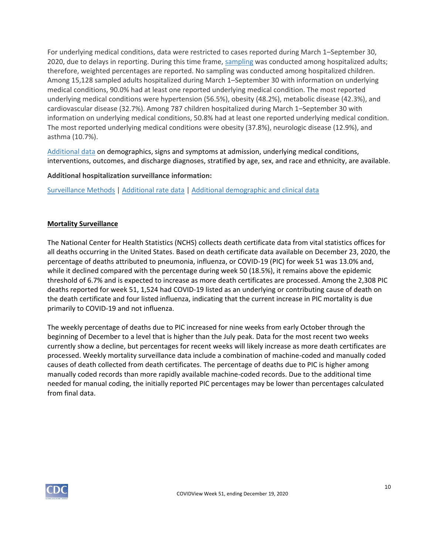For underlying medical conditions, data were restricted to cases reported during March 1–September 30, 2020, due to delays in reporting. During this time frame, [sampling](https://www.cdc.gov/coronavirus/2019-ncov/covid-data/covidview/purpose-methods.html#hospitalization) was conducted among hospitalized adults; therefore, weighted percentages are reported. No sampling was conducted among hospitalized children. Among 15,128 sampled adults hospitalized during March 1–September 30 with information on underlying medical conditions, 90.0% had at least one reported underlying medical condition. The most reported underlying medical conditions were hypertension (56.5%), obesity (48.2%), metabolic disease (42.3%), and cardiovascular disease (32.7%). Among 787 children hospitalized during March 1–September 30 with information on underlying medical conditions, 50.8% had at least one reported underlying medical condition. The most reported underlying medical conditions were obesity (37.8%), neurologic disease (12.9%), and asthma (10.7%).

[Additional data](https://gis.cdc.gov/grasp/COVIDNet/COVID19_5.html) on demographics, signs and symptoms at admission, underlying medical conditions, interventions, outcomes, and discharge diagnoses, stratified by age, sex, and race and ethnicity, are available.

**Additional hospitalization surveillance information:**

[Surveillance Methods](https://www.cdc.gov/coronavirus/2019-ncov/covid-data/covidview/purpose-methods.html#hospitalization) | [Additional rate data](https://gis.cdc.gov/grasp/COVIDNet/COVID19_3.html) | [Additional demographic and clinical data](https://gis.cdc.gov/grasp/COVIDNet/COVID19_5.html)

### **Mortality Surveillance**

The National Center for Health Statistics (NCHS) collects death certificate data from vital statistics offices for all deaths occurring in the United States. Based on death certificate data available on December 23, 2020, the percentage of deaths attributed to pneumonia, influenza, or COVID-19 (PIC) for week 51 was 13.0% and, while it declined compared with the percentage during week 50 (18.5%), it remains above the epidemic threshold of 6.7% and is expected to increase as more death certificates are processed. Among the 2,308 PIC deaths reported for week 51, 1,524 had COVID-19 listed as an underlying or contributing cause of death on the death certificate and four listed influenza, indicating that the current increase in PIC mortality is due primarily to COVID-19 and not influenza.

The weekly percentage of deaths due to PIC increased for nine weeks from early October through the beginning of December to a level that is higher than the July peak. Data for the most recent two weeks currently show a decline, but percentages for recent weeks will likely increase as more death certificates are processed. Weekly mortality surveillance data include a combination of machine-coded and manually coded causes of death collected from death certificates. The percentage of deaths due to PIC is higher among manually coded records than more rapidly available machine-coded records. Due to the additional time needed for manual coding, the initially reported PIC percentages may be lower than percentages calculated from final data.